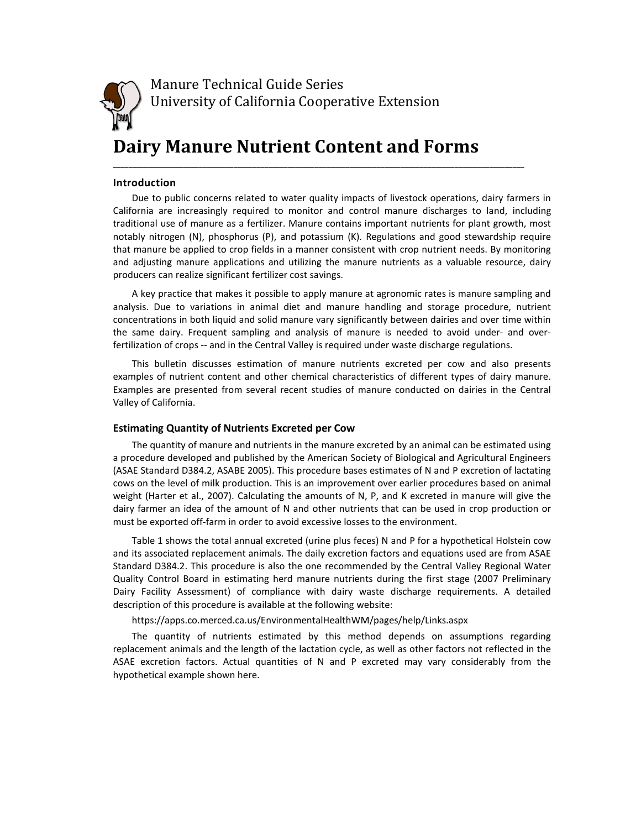

Manure Technical Guide Series University of California Cooperative Extension

# Dairy Manure Nutrient Content and Forms

#### Introduction

Due to public concerns related to water quality impacts of livestock operations, dairy farmers in California are increasingly required to monitor and control manure discharges to land, including traditional use of manure as a fertilizer. Manure contains important nutrients for plant growth, most notably nitrogen (N), phosphorus (P), and potassium (K). Regulations and good stewardship require that manure be applied to crop fields in a manner consistent with crop nutrient needs. By monitoring and adjusting manure applications and utilizing the manure nutrients as a valuable resource, dairy producers can realize significant fertilizer cost savings.

\_\_\_\_\_\_\_\_\_\_\_\_\_\_\_\_\_\_\_\_\_\_\_\_\_\_\_\_\_\_\_\_\_\_\_\_\_\_\_\_\_\_\_\_\_\_\_\_\_\_\_\_\_\_\_\_\_\_\_\_\_\_\_\_\_\_\_\_\_\_\_\_\_\_\_\_\_\_\_\_\_\_\_\_\_\_\_\_\_\_\_\_\_\_\_\_\_\_\_\_\_\_\_\_\_\_

A key practice that makes it possible to apply manure at agronomic rates is manure sampling and analysis. Due to variations in animal diet and manure handling and storage procedure, nutrient concentrations in both liquid and solid manure vary significantly between dairies and over time within the same dairy. Frequent sampling and analysis of manure is needed to avoid under- and overfertilization of crops -- and in the Central Valley is required under waste discharge regulations.

This bulletin discusses estimation of manure nutrients excreted per cow and also presents examples of nutrient content and other chemical characteristics of different types of dairy manure. Examples are presented from several recent studies of manure conducted on dairies in the Central Valley of California.

#### Estimating Quantity of Nutrients Excreted per Cow

The quantity of manure and nutrients in the manure excreted by an animal can be estimated using a procedure developed and published by the American Society of Biological and Agricultural Engineers (ASAE Standard D384.2, ASABE 2005). This procedure bases estimates of N and P excretion of lactating cows on the level of milk production. This is an improvement over earlier procedures based on animal weight (Harter et al., 2007). Calculating the amounts of N, P, and K excreted in manure will give the dairy farmer an idea of the amount of N and other nutrients that can be used in crop production or must be exported off-farm in order to avoid excessive losses to the environment.

Table 1 shows the total annual excreted (urine plus feces) N and P for a hypothetical Holstein cow and its associated replacement animals. The daily excretion factors and equations used are from ASAE Standard D384.2. This procedure is also the one recommended by the Central Valley Regional Water Quality Control Board in estimating herd manure nutrients during the first stage (2007 Preliminary Dairy Facility Assessment) of compliance with dairy waste discharge requirements. A detailed description of this procedure is available at the following website:

https://apps.co.merced.ca.us/EnvironmentalHealthWM/pages/help/Links.aspx

The quantity of nutrients estimated by this method depends on assumptions regarding replacement animals and the length of the lactation cycle, as well as other factors not reflected in the ASAE excretion factors. Actual quantities of N and P excreted may vary considerably from the hypothetical example shown here.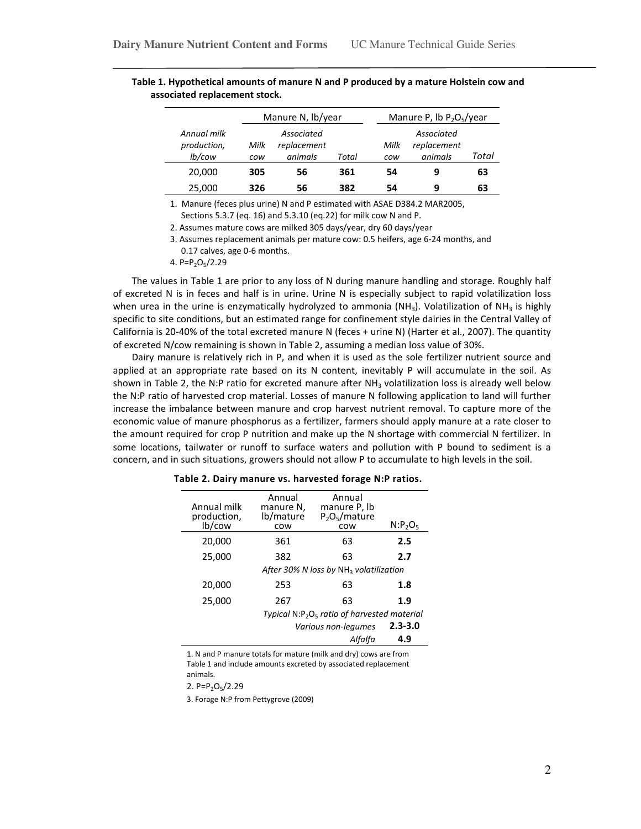|                                      | Manure N, lb/year |                                      |       |             | Manure P, lb $P_2O_5$ /year          |       |
|--------------------------------------|-------------------|--------------------------------------|-------|-------------|--------------------------------------|-------|
| Annual milk<br>production,<br>lb/cow | Milk<br>cow       | Associated<br>replacement<br>animals | Total | Milk<br>cow | Associated<br>replacement<br>animals | Total |
| 20,000                               | 305               | 56                                   | 361   | 54          | 9                                    | 63    |
| 25,000                               | 326               | 56                                   | 382   | 54          | 9                                    | 63    |

Table 1. Hypothetical amounts of manure N and P produced by a mature Holstein cow and associated replacement stock.

1. Manure (feces plus urine) N and P estimated with ASAE D384.2 MAR2005, Sections 5.3.7 (eq. 16) and 5.3.10 (eq.22) for milk cow N and P.

2. Assumes mature cows are milked 305 days/year, dry 60 days/year

3. Assumes replacement animals per mature cow: 0.5 heifers, age 6-24 months, and 0.17 calves, age 0-6 months.

4. P= $P_2O_5/2.29$ 

The values in Table 1 are prior to any loss of N during manure handling and storage. Roughly half of excreted N is in feces and half is in urine. Urine N is especially subject to rapid volatilization loss when urea in the urine is enzymatically hydrolyzed to ammonia (NH<sub>3</sub>). Volatilization of NH<sub>3</sub> is highly specific to site conditions, but an estimated range for confinement style dairies in the Central Valley of California is 20-40% of the total excreted manure N (feces + urine N) (Harter et al., 2007). The quantity of excreted N/cow remaining is shown in Table 2, assuming a median loss value of 30%.

Dairy manure is relatively rich in P, and when it is used as the sole fertilizer nutrient source and applied at an appropriate rate based on its N content, inevitably P will accumulate in the soil. As shown in Table 2, the N:P ratio for excreted manure after  $NH<sub>3</sub>$  volatilization loss is already well below the N:P ratio of harvested crop material. Losses of manure N following application to land will further increase the imbalance between manure and crop harvest nutrient removal. To capture more of the economic value of manure phosphorus as a fertilizer, farmers should apply manure at a rate closer to the amount required for crop P nutrition and make up the N shortage with commercial N fertilizer. In some locations, tailwater or runoff to surface waters and pollution with P bound to sediment is a concern, and in such situations, growers should not allow P to accumulate to high levels in the soil.

| Annual milk<br>production,<br>lb/cow | Annual<br>manure N,<br>lb/mature<br>COW         | Annual<br>manure P, lb<br>$P_2O_5/mature$<br>COW   | $N: P_2O_5$ |
|--------------------------------------|-------------------------------------------------|----------------------------------------------------|-------------|
| 20,000                               | 361                                             | 63                                                 | 2.5         |
| 25,000                               | 382                                             | 63                                                 | 2.7         |
|                                      |                                                 | After 30% N loss by NH <sub>3</sub> volatilization |             |
| 20,000                               | 253                                             | 63                                                 | 1.8         |
| 25,000                               | 267                                             | 63                                                 | 1.9         |
|                                      | Typical $N: P_2O_5$ ratio of harvested material |                                                    |             |
|                                      |                                                 | Various non-legumes                                | $2.3 - 3.0$ |
|                                      |                                                 | Alfalfa                                            | 4.9         |

Table 2. Dairy manure vs. harvested forage N:P ratios.

1. N and P manure totals for mature (milk and dry) cows are from Table 1 and include amounts excreted by associated replacement animals.

2.  $P = P_2O_5/2.29$ 

3. Forage N:P from Pettygrove (2009)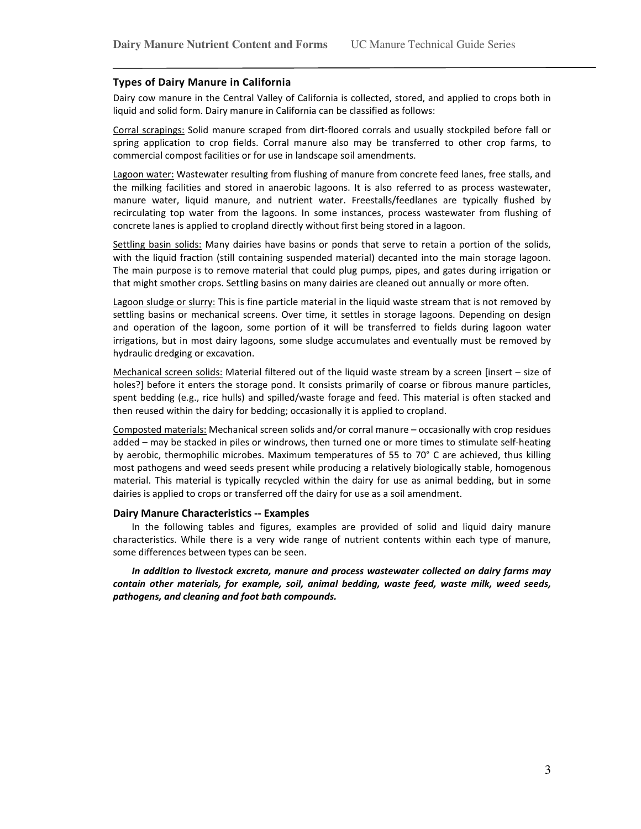#### Types of Dairy Manure in California

Dairy cow manure in the Central Valley of California is collected, stored, and applied to crops both in liquid and solid form. Dairy manure in California can be classified as follows:

Corral scrapings: Solid manure scraped from dirt-floored corrals and usually stockpiled before fall or spring application to crop fields. Corral manure also may be transferred to other crop farms, to commercial compost facilities or for use in landscape soil amendments.

Lagoon water: Wastewater resulting from flushing of manure from concrete feed lanes, free stalls, and the milking facilities and stored in anaerobic lagoons. It is also referred to as process wastewater, manure water, liquid manure, and nutrient water. Freestalls/feedlanes are typically flushed by recirculating top water from the lagoons. In some instances, process wastewater from flushing of concrete lanes is applied to cropland directly without first being stored in a lagoon.

Settling basin solids: Many dairies have basins or ponds that serve to retain a portion of the solids, with the liquid fraction (still containing suspended material) decanted into the main storage lagoon. The main purpose is to remove material that could plug pumps, pipes, and gates during irrigation or that might smother crops. Settling basins on many dairies are cleaned out annually or more often.

Lagoon sludge or slurry: This is fine particle material in the liquid waste stream that is not removed by settling basins or mechanical screens. Over time, it settles in storage lagoons. Depending on design and operation of the lagoon, some portion of it will be transferred to fields during lagoon water irrigations, but in most dairy lagoons, some sludge accumulates and eventually must be removed by hydraulic dredging or excavation.

Mechanical screen solids: Material filtered out of the liquid waste stream by a screen [insert – size of holes?] before it enters the storage pond. It consists primarily of coarse or fibrous manure particles, spent bedding (e.g., rice hulls) and spilled/waste forage and feed. This material is often stacked and then reused within the dairy for bedding; occasionally it is applied to cropland.

Composted materials: Mechanical screen solids and/or corral manure – occasionally with crop residues added – may be stacked in piles or windrows, then turned one or more times to stimulate self-heating by aerobic, thermophilic microbes. Maximum temperatures of 55 to 70° C are achieved, thus killing most pathogens and weed seeds present while producing a relatively biologically stable, homogenous material. This material is typically recycled within the dairy for use as animal bedding, but in some dairies is applied to crops or transferred off the dairy for use as a soil amendment.

#### Dairy Manure Characteristics -- Examples

In the following tables and figures, examples are provided of solid and liquid dairy manure characteristics. While there is a very wide range of nutrient contents within each type of manure, some differences between types can be seen.

In addition to livestock excreta, manure and process wastewater collected on dairy farms may contain other materials, for example, soil, animal bedding, waste feed, waste milk, weed seeds, pathogens, and cleaning and foot bath compounds.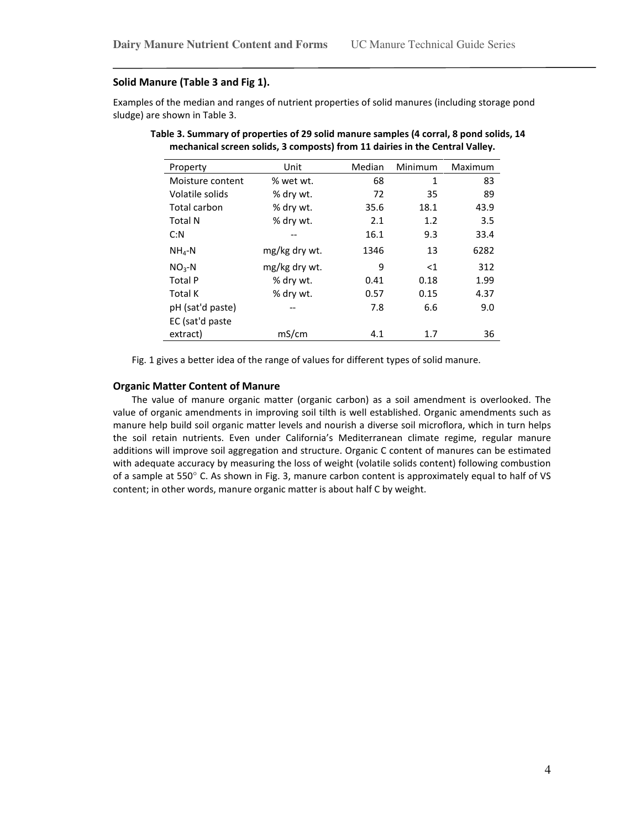#### Solid Manure (Table 3 and Fig 1).

Examples of the median and ranges of nutrient properties of solid manures (including storage pond sludge) are shown in Table 3.

| Property         | Unit          | Median | Minimum      | Maximum |
|------------------|---------------|--------|--------------|---------|
| Moisture content | % wet wt.     | 68     | $\mathbf{1}$ | 83      |
| Volatile solids  | % dry wt.     | 72     | 35           | 89      |
| Total carbon     | % dry wt.     | 35.6   | 18.1         | 43.9    |
| <b>Total N</b>   | % dry wt.     | 2.1    | 1.2          | 3.5     |
| C: N             |               | 16.1   | 9.3          | 33.4    |
| $NH4-N$          | mg/kg dry wt. | 1346   | 13           | 6282    |
| $NO3-N$          | mg/kg dry wt. | 9      | $<$ 1        | 312     |
| Total P          | % dry wt.     | 0.41   | 0.18         | 1.99    |
| Total K          | % dry wt.     | 0.57   | 0.15         | 4.37    |
| pH (sat'd paste) |               | 7.8    | 6.6          | 9.0     |
| EC (sat'd paste  |               |        |              |         |
| extract)         | mS/cm         | 4.1    | 1.7          | 36      |

Table 3. Summary of properties of 29 solid manure samples (4 corral, 8 pond solids, 14 mechanical screen solids, 3 composts) from 11 dairies in the Central Valley.

Fig. 1 gives a better idea of the range of values for different types of solid manure.

## Organic Matter Content of Manure

The value of manure organic matter (organic carbon) as a soil amendment is overlooked. The value of organic amendments in improving soil tilth is well established. Organic amendments such as manure help build soil organic matter levels and nourish a diverse soil microflora, which in turn helps the soil retain nutrients. Even under California's Mediterranean climate regime, regular manure additions will improve soil aggregation and structure. Organic C content of manures can be estimated with adequate accuracy by measuring the loss of weight (volatile solids content) following combustion of a sample at 550° C. As shown in Fig. 3, manure carbon content is approximately equal to half of VS content; in other words, manure organic matter is about half C by weight.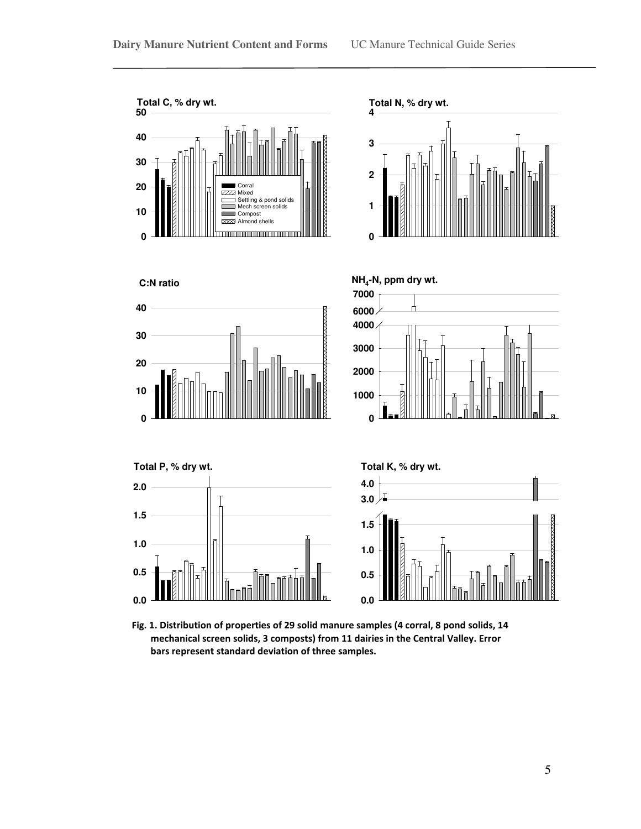

Fig. 1. Distribution of properties of 29 solid manure samples (4 corral, 8 pond solids, 14 mechanical screen solids, 3 composts) from 11 dairies in the Central Valley. Error bars represent standard deviation of three samples.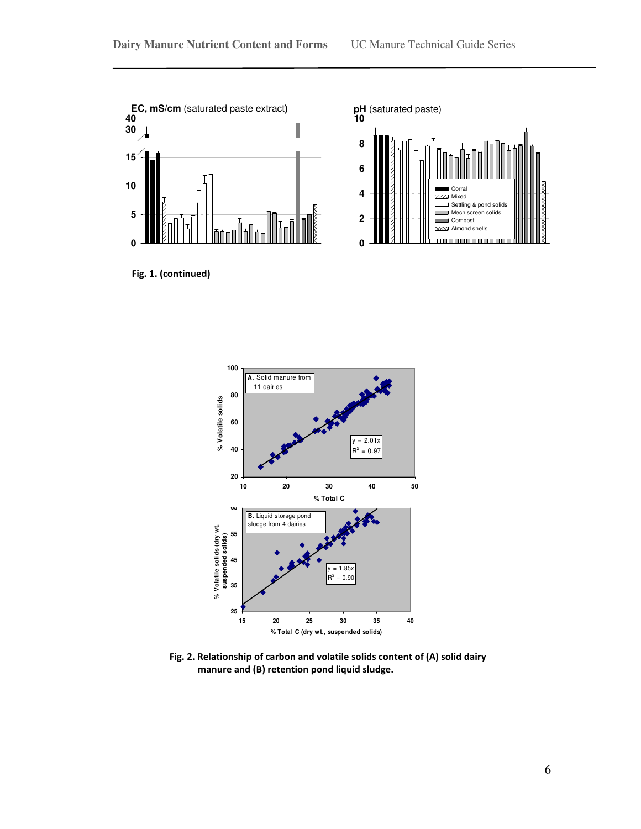

Fig. 1. (continued)





Fig. 2. Relationship of carbon and volatile solids content of (A) solid dairy manure and (B) retention pond liquid sludge.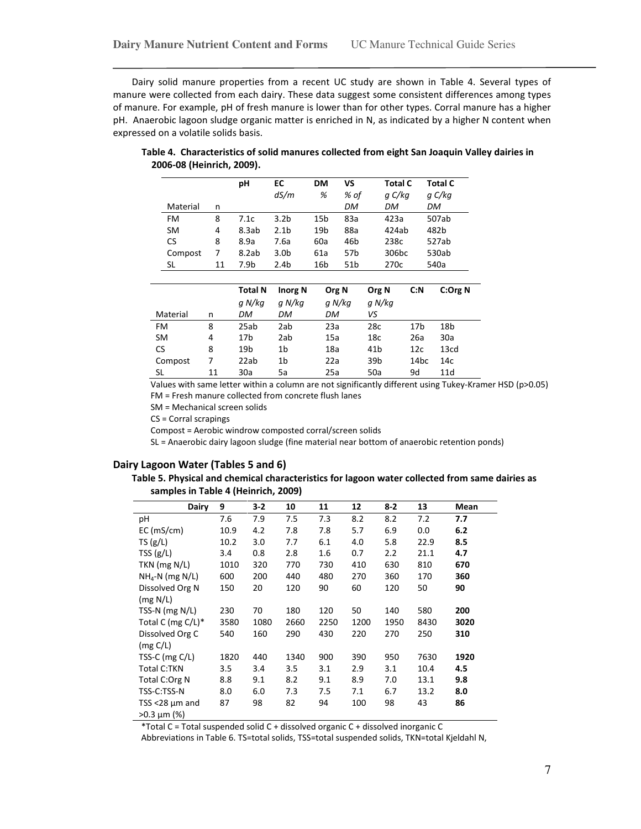Dairy solid manure properties from a recent UC study are shown in Table 4. Several types of manure were collected from each dairy. These data suggest some consistent differences among types of manure. For example, pH of fresh manure is lower than for other types. Corral manure has a higher pH. Anaerobic lagoon sludge organic matter is enriched in N, as indicated by a higher N content when expressed on a volatile solids basis.

|           |    | рH    | EC<br>dS/m       | DМ<br>% | VS<br>% of      | <b>Total C</b><br>g C/kg | Total C<br>g C/kg |
|-----------|----|-------|------------------|---------|-----------------|--------------------------|-------------------|
| Material  | n  |       |                  |         | DM              | DM                       | DM                |
| FM        | 8  | 7.1c  | 3.2 <sub>b</sub> | 15b     | 83a             | 423a                     | 507ab             |
| <b>SM</b> | 4  | 8.3ab | 2.1 <sub>b</sub> | 19b     | 88a             | 424ab                    | 482b              |
| CS        | 8  | 8.9a  | 7.6a             | 60a     | 46b             | 238c                     | 527ab             |
| Compost   | 7  | 8.2ab | 3.0 <sub>b</sub> | 61a     | 57 <sub>b</sub> | 306 <sub>bc</sub>        | 530ab             |
| SL        | 11 | 7.9b  | 2.4 <sub>b</sub> | 16b     | 51 <sub>b</sub> | 270 <sub>c</sub>         | 540a              |

Table 4. Characteristics of solid manures collected from eight San Joaquin Valley dairies in 2006-08 (Heinrich, 2009).

|           |    | <b>Total N</b>  | <b>Inorg N</b> | Org N     | Org N           | C: N             | C:Org N          |
|-----------|----|-----------------|----------------|-----------|-----------------|------------------|------------------|
|           |    | g N/kg          | a N/ka         | g N/kg    | g N/kg          |                  |                  |
| Material  | n  | DM              | DM             | <b>DM</b> | vs              |                  |                  |
| FM        | 8  | 25ab            | 2ab            | 23a       | 28c             | 17 <sub>b</sub>  | 18b              |
| <b>SM</b> | 4  | 17 <sub>b</sub> | 2ab            | 15a       | 18 <sub>c</sub> | 26a              | 30a              |
| CS        | 8  | 19b             | 1b             | 18a       | 41 <sub>b</sub> | 12 <sub>c</sub>  | 13 <sub>cd</sub> |
| Compost   | 7  | 22ab            | 1b             | 22a       | 39 <sub>b</sub> | 14 <sub>bc</sub> | 14c              |
| SL        | 11 | 30a             | 5a             | 25a       | 50a             | 9d               | 11d              |

Values with same letter within a column are not significantly different using Tukey-Kramer HSD (p>0.05) FM = Fresh manure collected from concrete flush lanes

SM = Mechanical screen solids

CS = Corral scrapings

Compost = Aerobic windrow composted corral/screen solids

SL = Anaerobic dairy lagoon sludge (fine material near bottom of anaerobic retention ponds)

## Dairy Lagoon Water (Tables 5 and 6)

Table 5. Physical and chemical characteristics for lagoon water collected from same dairies as samples in Table 4 (Heinrich, 2009)

| <b>Dairy</b>         | 9    | $3 - 2$ | 10   | 11   | 12   | $8 - 2$ | 13   | Mean |
|----------------------|------|---------|------|------|------|---------|------|------|
| рH                   | 7.6  | 7.9     | 7.5  | 7.3  | 8.2  | 8.2     | 7.2  | 7.7  |
| EC(mS/cm)            | 10.9 | 4.2     | 7.8  | 7.8  | 5.7  | 6.9     | 0.0  | 6.2  |
| TS(g/L)              | 10.2 | 3.0     | 7.7  | 6.1  | 4.0  | 5.8     | 22.9 | 8.5  |
| TSS(g/L)             | 3.4  | 0.8     | 2.8  | 1.6  | 0.7  | 2.2     | 21.1 | 4.7  |
| TKN (mg N/L)         | 1010 | 320     | 770  | 730  | 410  | 630     | 810  | 670  |
| $NHa-N$ (mg N/L)     | 600  | 200     | 440  | 480  | 270  | 360     | 170  | 360  |
| Dissolved Org N      | 150  | 20      | 120  | 90   | 60   | 120     | 50   | 90   |
| (mg N/L)             |      |         |      |      |      |         |      |      |
| TSS-N $(mg N/L)$     | 230  | 70      | 180  | 120  | 50   | 140     | 580  | 200  |
| Total C (mg $C/L$ )* | 3580 | 1080    | 2660 | 2250 | 1200 | 1950    | 8430 | 3020 |
| Dissolved Org C      | 540  | 160     | 290  | 430  | 220  | 270     | 250  | 310  |
| (mg C/L)             |      |         |      |      |      |         |      |      |
| TSS-C $(mg C/L)$     | 1820 | 440     | 1340 | 900  | 390  | 950     | 7630 | 1920 |
| <b>Total C:TKN</b>   | 3.5  | 3.4     | 3.5  | 3.1  | 2.9  | 3.1     | 10.4 | 4.5  |
| Total C:Org N        | 8.8  | 9.1     | 8.2  | 9.1  | 8.9  | 7.0     | 13.1 | 9.8  |
| TSS-C:TSS-N          | 8.0  | 6.0     | 7.3  | 7.5  | 7.1  | 6.7     | 13.2 | 8.0  |
| TSS <28 $\mu$ m and  | 87   | 98      | 82   | 94   | 100  | 98      | 43   | 86   |
| $>0.3 \mu m$ (%)     |      |         |      |      |      |         |      |      |

\*Total C = Total suspended solid C + dissolved organic C + dissolved inorganic C

Abbreviations in Table 6. TS=total solids, TSS=total suspended solids, TKN=total Kjeldahl N,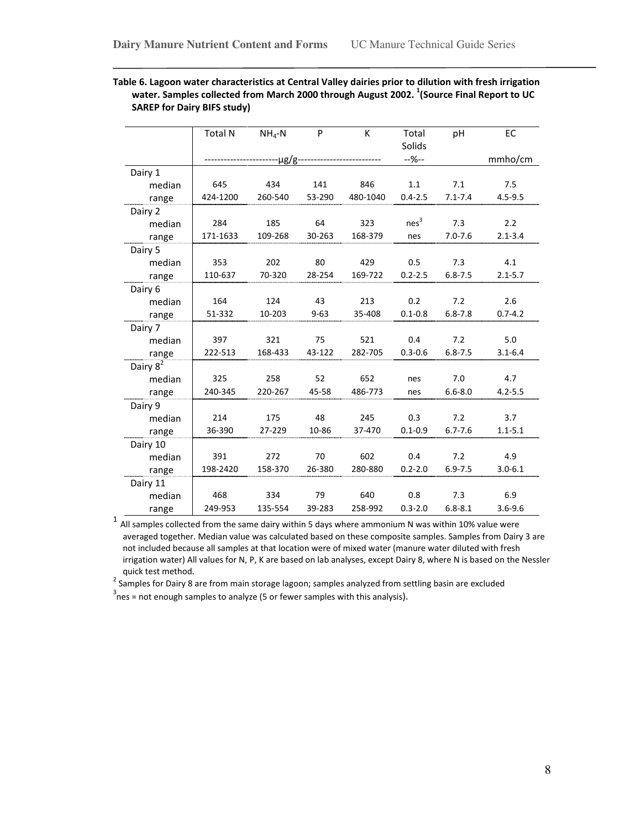|                      | <b>Total N</b> | $NH4-N$ | P        | К        | Total<br>Solids  | pH          | EC          |
|----------------------|----------------|---------|----------|----------|------------------|-------------|-------------|
|                      |                | ·μg/g   |          |          | $-96-$           |             | mmho/cm     |
| Dairy 1              |                |         |          |          |                  |             |             |
| median               | 645            | 434     | 141      | 846      | 1.1              | 7.1         | 7.5         |
| range                | 424-1200       | 260-540 | 53-290   | 480-1040 | $0.4 - 2.5$      | $7.1 - 7.4$ | $4.5 - 9.5$ |
| Dairy 2              |                |         |          |          |                  |             |             |
| median               | 284            | 185     | 64       | 323      | nes <sup>3</sup> | 7.3         | 2.2         |
| range                | 171-1633       | 109-268 | 30-263   | 168-379  | nes              | $7.0 - 7.6$ | $2.1 - 3.4$ |
| Dairy 5              |                |         |          |          |                  |             |             |
| median               | 353            | 202     | 80       | 429      | 0.5              | 7.3         | 4.1         |
| range                | 110-637        | 70-320  | 28-254   | 169-722  | $0.2 - 2.5$      | $6.8 - 7.5$ | $2.1 - 5.7$ |
| Dairy 6              |                |         |          |          |                  |             |             |
| median               | 164            | 124     | 43       | 213      | 0.2              | 7.2         | 2.6         |
| range                | 51-332         | 10-203  | $9 - 63$ | 35-408   | $0.1 - 0.8$      | $6.8 - 7.8$ | $0.7 - 4.2$ |
| Dairy 7              |                |         |          |          |                  |             |             |
| median               | 397            | 321     | 75       | 521      | 0.4              | 7.2         | 5.0         |
| range                | 222-513        | 168-433 | 43-122   | 282-705  | $0.3 - 0.6$      | $6.8 - 7.5$ | $3.1 - 6.4$ |
| Dairy 8 <sup>2</sup> |                |         |          |          |                  |             |             |
| median               | 325            | 258     | 52       | 652      | nes              | 7.0         | 4.7         |
| range                | 240-345        | 220-267 | 45-58    | 486-773  | nes              | $6.6 - 8.0$ | $4.2 - 5.5$ |
| Dairy 9              |                |         |          |          |                  |             |             |
| median               | 214            | 175     | 48       | 245      | 0.3              | 7.2         | 3.7         |
| range                | 36-390         | 27-229  | 10-86    | 37-470   | $0.1 - 0.9$      | $6.7 - 7.6$ | $1.1 - 5.1$ |
| Dairy 10             |                |         |          |          |                  |             |             |
| median               | 391            | 272     | 70       | 602      | 0.4              | 7.2         | 4.9         |
| range                | 198-2420       | 158-370 | 26-380   | 280-880  | $0.2 - 2.0$      | $6.9 - 7.5$ | $3.0 - 6.1$ |
| Dairy 11             |                |         |          |          |                  |             |             |
| median               | 468            | 334     | 79       | 640      | 0.8              | 7.3         | 6.9         |
| range                | 249-953        | 135-554 | 39-283   | 258-992  | $0.3 - 2.0$      | $6.8 - 8.1$ | $3.6 - 9.6$ |

## Table 6. Lagoon water characteristics at Central Valley dairies prior to dilution with fresh irrigation water. Samples collected from March 2000 through August 2002.  $^{1}$ (Source Final Report to UC SAREP for Dairy BIFS study)

<sup>1</sup> All samples collected from the same dairy within 5 days where ammonium N was within 10% value were averaged together. Median value was calculated based on these composite samples. Samples from Dairy 3 are not included because all samples at that location were of mixed water (manure water diluted with fresh irrigation water) All values for N, P, K are based on lab analyses, except Dairy 8, where N is based on the Nessler quick test method.

<sup>2</sup> Samples for Dairy 8 are from main storage lagoon; samples analyzed from settling basin are excluded

 $3\over 3$ nes = not enough samples to analyze (5 or fewer samples with this analysis).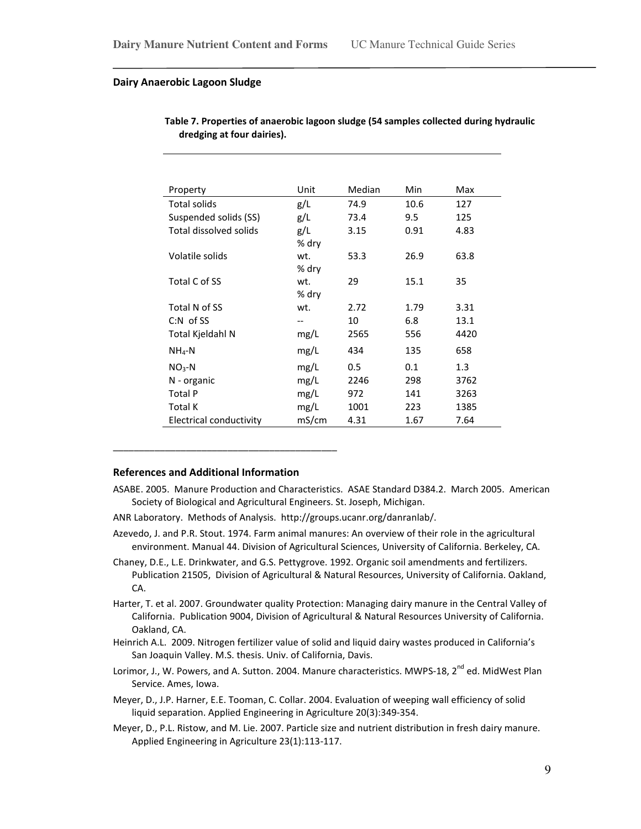#### Dairy Anaerobic Lagoon Sludge

| Property                | Unit  | Median | Min  | Max  |
|-------------------------|-------|--------|------|------|
| <b>Total solids</b>     | g/L   | 74.9   | 10.6 | 127  |
| Suspended solids (SS)   | g/L   | 73.4   | 9.5  | 125  |
| Total dissolved solids  | g/L   | 3.15   | 0.91 | 4.83 |
|                         | % dry |        |      |      |
| Volatile solids         | wt.   | 53.3   | 26.9 | 63.8 |
|                         | % dry |        |      |      |
| Total C of SS           | wt.   | 29     | 15.1 | 35   |
|                         | % dry |        |      |      |
| Total N of SS           | wt.   | 2.72   | 1.79 | 3.31 |
| $C:N$ of SS             | --    | 10     | 6.8  | 13.1 |
| Total Kjeldahl N        | mg/L  | 2565   | 556  | 4420 |
| $NH4-N$                 | mg/L  | 434    | 135  | 658  |
| $NO3-N$                 | mg/L  | 0.5    | 0.1  | 1.3  |
| N - organic             | mg/L  | 2246   | 298  | 3762 |
| <b>Total P</b>          | mg/L  | 972    | 141  | 3263 |
| <b>Total K</b>          | mg/L  | 1001   | 223  | 1385 |
| Electrical conductivity | mS/cm | 4.31   | 1.67 | 7.64 |

Table 7. Properties of anaerobic lagoon sludge (54 samples collected during hydraulic dredging at four dairies).

#### References and Additional Information

\_\_\_\_\_\_\_\_\_\_\_\_\_\_\_\_\_\_\_\_\_\_\_\_\_\_\_\_\_\_\_\_\_\_\_\_\_\_\_\_\_\_\_

- ASABE. 2005. Manure Production and Characteristics. ASAE Standard D384.2. March 2005. American Society of Biological and Agricultural Engineers. St. Joseph, Michigan.
- ANR Laboratory. Methods of Analysis. http://groups.ucanr.org/danranlab/.
- Azevedo, J. and P.R. Stout. 1974. Farm animal manures: An overview of their role in the agricultural environment. Manual 44. Division of Agricultural Sciences, University of California. Berkeley, CA.
- Chaney, D.E., L.E. Drinkwater, and G.S. Pettygrove. 1992. Organic soil amendments and fertilizers. Publication 21505, Division of Agricultural & Natural Resources, University of California. Oakland, CA.
- Harter, T. et al. 2007. Groundwater quality Protection: Managing dairy manure in the Central Valley of California. Publication 9004, Division of Agricultural & Natural Resources University of California. Oakland, CA.
- Heinrich A.L. 2009. Nitrogen fertilizer value of solid and liquid dairy wastes produced in California's San Joaquin Valley. M.S. thesis. Univ. of California, Davis.
- Lorimor, J., W. Powers, and A. Sutton. 2004. Manure characteristics. MWPS-18, 2<sup>nd</sup> ed. MidWest Plan Service. Ames, Iowa.
- Meyer, D., J.P. Harner, E.E. Tooman, C. Collar. 2004. Evaluation of weeping wall efficiency of solid liquid separation. Applied Engineering in Agriculture 20(3):349-354.
- Meyer, D., P.L. Ristow, and M. Lie. 2007. Particle size and nutrient distribution in fresh dairy manure. Applied Engineering in Agriculture 23(1):113-117.